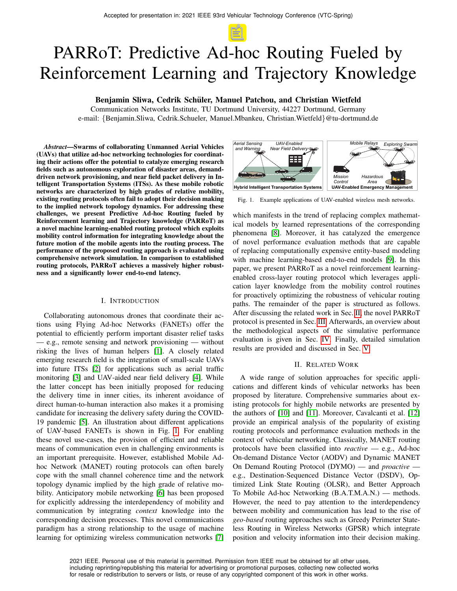# PARRoT: Predictive Ad-hoc Routing Fueled by Reinforcement Learning and Trajectory Knowledge

## Benjamin Sliwa, Cedrik Schüler, Manuel Patchou, and Christian Wietfeld

Communication Networks Institute, TU Dortmund University, 44227 Dortmund, Germany e-mail: {Benjamin.Sliwa, Cedrik.Schueler, Manuel.Mbankeu, Christian.Wietfeld}@tu-dortmund.de

*Abstract*—Swarms of collaborating Unmanned Aerial Vehicles (UAVs) that utilize ad-hoc networking technologies for coordinating their actions offer the potential to catalyze emerging research fields such as autonomous exploration of disaster areas, demanddriven network provisioning, and near field packet delivery in Intelligent Transportation Systems (ITSs). As these mobile robotic networks are characterized by high grades of relative mobility, existing routing protocols often fail to adopt their decision making to the implied network topology dynamics. For addressing these challenges, we present Predictive Ad-hoc Routing fueled by Reinforcement learning and Trajectory knowledge (PARRoT) as a novel machine learning-enabled routing protocol which exploits mobility control information for integrating knowledge about the future motion of the mobile agents into the routing process. The performance of the proposed routing approach is evaluated using comprehensive network simulation. In comparison to established routing protocols, PARRoT achieves a massively higher robustness and a significantly lower end-to-end latency.

#### I. INTRODUCTION

Collaborating autonomous drones that coordinate their actions using Flying Ad-hoc Networks (FANETs) offer the potential to efficiently perform important disaster relief tasks — e.g., remote sensing and network provisioning — without risking the lives of human helpers [\[1\]](#page-6-0). A closely related emerging research field is the integration of small-scale UAVs into future ITSs [\[2\]](#page-6-1) for applications such as aerial traffic monitoring [\[3\]](#page-6-2) and UAV-aided near field delivery [\[4\]](#page-6-3). While the latter concept has been initially proposed for reducing the delivery time in inner cities, its inherent avoidance of direct human-to-human interaction also makes it a promising candidate for increasing the delivery safety during the COVID-19 pandemic [\[5\]](#page-6-4). An illustration about different applications of UAV-based FANETs is shown in Fig. [1.](#page-0-0) For enabling these novel use-cases, the provision of efficient and reliable means of communication even in challenging environments is an important prerequisite. However, established Mobile Adhoc Network (MANET) routing protocols can often barely cope with the small channel coherence time and the network topology dynamic implied by the high grade of relative mobility. Anticipatory mobile networking [\[6\]](#page-6-5) has been proposed for explicitly addressing the interdependency of mobility and communication by integrating *context* knowledge into the corresponding decision processes. This novel communications paradigm has a strong relationship to the usage of machine learning for optimizing wireless communication networks [\[7\]](#page-6-6)



<span id="page-0-0"></span>Fig. 1. Example applications of UAV-enabled wireless mesh networks.

which manifests in the trend of replacing complex mathematical models by learned representations of the corresponding phenomena [\[8\]](#page-6-7). Moreover, it has catalyzed the emergence of novel performance evaluation methods that are capable of replacing computationally expensive entity-based modeling with machine learning-based end-to-end models [\[9\]](#page-6-8). In this paper, we present PARRoT as a novel reinforcement learningenabled cross-layer routing protocol which leverages application layer knowledge from the mobility control routines for proactively optimizing the robustness of vehicular routing paths. The remainder of the paper is structured as follows. After discussing the related work in Sec. [II,](#page-0-1) the novel PARRoT protocol is presented in Sec. [III.](#page-1-0) Afterwards, an overview about the methodological aspects of the simulative performance evaluation is given in Sec. [IV.](#page-3-0) Finally, detailed simulation results are provided and discussed in Sec. [V.](#page-3-1)

## II. RELATED WORK

<span id="page-0-1"></span>A wide range of solution approaches for specific applications and different kinds of vehicular networks has been proposed by literature. Comprehensive summaries about existing protocols for highly mobile networks are presented by the authors of [\[10\]](#page-6-9) and [\[11\]](#page-6-10). Moreover, Cavalcanti et al. [\[12\]](#page-6-11) provide an empirical analysis of the popularity of existing routing protocols and performance evaluation methods in the context of vehicular networking. Classically, MANET routing protocols have been classified into *reactive* — e.g., Ad-hoc On-demand Distance Vector (AODV) and Dynamic MANET On Demand Routing Protocol (DYMO) — and *proactive* e.g., Destination-Sequenced Distance Vector (DSDV), Optimized Link State Routing (OLSR), and Better Approach To Mobile Ad-hoc Networking (B.A.T.M.A.N.) — methods. However, the need to pay attention to the interdependency between mobility and communication has lead to the rise of *geo-based* routing approaches such as Greedy Perimeter Stateless Routing in Wireless Networks (GPSR) which integrate position and velocity information into their decision making.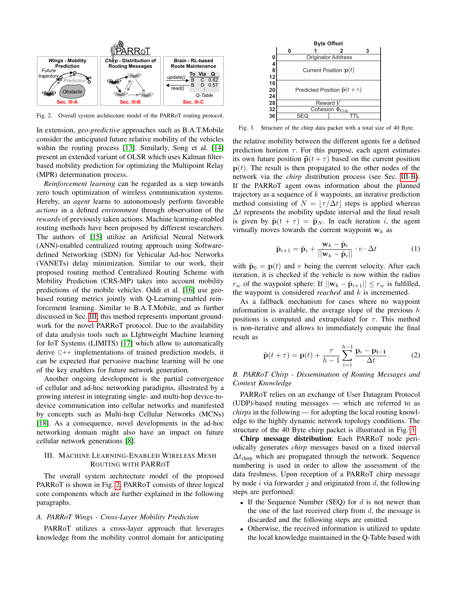

<span id="page-1-1"></span>Fig. 2. Overall system architecture model of the PARRoT routing protocol.

In extension, *geo-predictive* approaches such as B.A.T.Mobile consider the anticipated future relative mobility of the vehicles within the routing process [\[13\]](#page-6-12). Similarly, Song et al. [\[14\]](#page-6-13) present an extended variant of OLSR which uses Kalman filterbased mobility prediction for optimizing the Multipoint Relay (MPR) determination process.

*Reinforcement learning* can be regarded as a step towards zero touch optimization of wireless communication systems. Hereby, an *agent* learns to autonomously perform favorable *actions* in a defined *environment* through observation of the *rewards* of previously taken actions. Machine learning-enabled routing methods have been proposed by different researchers. The authors of [\[15\]](#page-6-14) utilize an Artificial Neural Network (ANN)-enabled centralized routing approach using Softwaredefined Networking (SDN) for Vehicular Ad-hoc Networks (VANETs) delay minimization. Similar to our work, their proposed routing method Centralized Routing Scheme with Mobility Prediction (CRS-MP) takes into account mobility predictions of the mobile vehicles. Oddi et al. [\[16\]](#page-6-15) use geobased routing metrics jointly with Q-Learning-enabled reinforcement learning. Similar to B.A.T.Mobile, and as further discussed in Sec. [III,](#page-1-0) this method represents important groundwork for the novel PARRoT protocol. Due to the availability of data analysis tools such as LIghtweight Machine learning for IoT Systems (LIMITS) [\[17\]](#page-6-16) which allow to automatically derive C++ implementations of trained prediction models, it can be expected that pervasive machine learning will be one of the key enablers for future network generation.

Another ongoing development is the partial convergence of cellular and ad-hoc networking paradigms, illustrated by a growing interest in integrating single- and multi-hop device-todevice communication into cellular networks and manifested by concepts such as Multi-hop Cellular Networks (MCNs) [\[18\]](#page-6-17). As a consequence, novel developments in the ad-hoc networking domain might also have an impact on future cellular network generations [\[8\]](#page-6-7).

## <span id="page-1-0"></span>III. MACHINE LEARNING-ENABLED WIRELESS MESH ROUTING WITH PARROT

The overall system architecture model of the proposed PARRoT is shown in Fig. [2.](#page-1-1) PARRoT consists of three logical core components which are further explained in the following paragraphs.

## <span id="page-1-4"></span>*A. PARRoT Wings - Cross-Layer Mobility Prediction*

PARRoT utilizes a cross-layer approach that leverages knowledge from the mobility control domain for anticipating

<span id="page-1-3"></span>

Fig. 3. Structure of the chirp data packet with a total size of 40 Byte.

the relative mobility between the different agents for a defined prediction horizon  $\tau$ . For this purpose, each agent estimates its own future position  $\tilde{\mathbf{p}}(t+\tau)$  based on the current position  $p(t)$ . The result is then propagated to the other nodes of the network via the *chirp* distribution process (see Sec. [III-B\)](#page-1-2). If the PARRoT agent owns information about the planned trajectory as a sequence of  $k$  waypoints, an iterative prediction method consisting of  $N = |\tau / \Delta t|$  steps is applied whereas  $\Delta t$  represents the mobility update interval and the final result is given by  $\tilde{\mathbf{p}}(t + \tau) = \tilde{\mathbf{p}}_N$ . In each iteration *i*, the agent virtually moves towards the current waypoint  $w_k$  as

$$
\tilde{\mathbf{p}}_{i+1} = \tilde{\mathbf{p}}_i + \frac{\mathbf{w}_k - \tilde{\mathbf{p}}_i}{||\mathbf{w}_k - \tilde{\mathbf{p}}_i||} \cdot v \cdot \Delta t \tag{1}
$$

with  $\tilde{\mathbf{p}}_0 = \mathbf{p}(t)$  and v being the current velocity. After each iteration, it is checked if the vehicle is now within the radius  $r_w$  of the waypoint sphere: If  $||\mathbf{w}_k - \tilde{\mathbf{p}}_{i+1}|| \leq r_w$  is fulfilled, the waypoint is considered *reached* and k is incremented.

As a fallback mechanism for cases where no waypoint information is available, the average slope of the previous  $h$ positions is computed and extrapolated for  $\tau$ . This method is non-iterative and allows to immediately compute the final result as

$$
\tilde{\mathbf{p}}(t+\tau) = \mathbf{p}(t) + \frac{\tau}{h-1} \sum_{i=1}^{h-1} \frac{\mathbf{p}_i - \mathbf{p}_{i-1}}{\Delta t}.
$$
 (2)

## <span id="page-1-2"></span>*B. PARRoT Chirp - Dissemination of Routing Messages and Context Knowledge*

PARRoT relies on an exchange of User Datagram Protocol (UDP)-based routing messages — which are referred to as *chirps* in the following — for adopting the local routing knowledge to the highly dynamic network topology conditions. The structure of the 40 Byte chirp packet is illustrated in Fig. [3.](#page-1-3)

Chirp message distribution: Each PARRoT node periodically generates *chirp* messages based on a fixed interval  $\Delta t_{\text{chirp}}$  which are propagated through the network. Sequence numbering is used in order to allow the assessment of the data freshness. Upon reception of a PARRoT chirp message by node i via forwarder j and originated from  $d$ , the following steps are performed:

- If the Sequence Number (SEQ) for  $d$  is not newer than the one of the last received chirp from  $d$ , the message is discarded and the following steps are omitted.
- Otherwise, the received information is utilized to update the local knowledge maintained in the Q-Table based with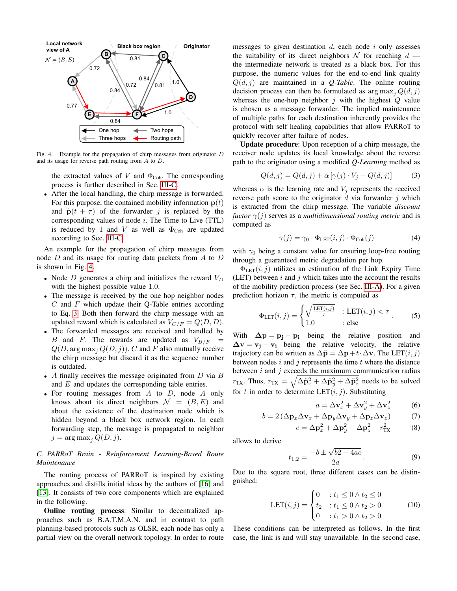

Fig. 4. Example for the propagation of chirp messages from originator D and its usage for reverse path routing from A to D.

the extracted values of  $V$  and  $\Phi_{\text{Coh}}$ . The corresponding process is further described in Sec. [III-C.](#page-2-0)

• After the local handling, the chirp message is forwarded. For this purpose, the contained mobility information  $p(t)$ and  $\tilde{\mathbf{p}}(t + \tau)$  of the forwarder j is replaced by the corresponding values of node  $i$ . The Time to Live (TTL) is reduced by 1 and V as well as  $\Phi_{\text{Coh}}$  are updated according to Sec. [III-C.](#page-2-0)

An example for the propagation of chirp messages from node  $D$  and its usage for routing data packets from  $A$  to  $D$ is shown in Fig. [4.](#page-2-1)

- Node  $D$  generates a chirp and initializes the reward  $V_D$ with the highest possible value 1.0.
- The message is received by the one hop neighbor nodes  $C$  and  $F$  which update their Q-Table entries according to Eq. [3.](#page-2-2) Both then forward the chirp message with an updated reward which is calculated as  $V_{C/F} = Q(D, D)$ .
- The forwarded messages are received and handled by B and F. The rewards are updated as  $V_{B/F}$  $Q(D, \arg \max_{i} Q(D, j))$ . C and F also mutually receive the chirp message but discard it as the sequence number is outdated.
- A finally receives the message originated from  $D$  via  $B$ and  $E$  and updates the corresponding table entries.
- For routing messages from  $A$  to  $D$ , node  $A$  only knows about its direct neighbors  $\mathcal{N} = (B, E)$  and about the existence of the destination node which is hidden beyond a black box network region. In each forwarding step, the message is propagated to neighbor  $j = \arg \max_j Q(D, j).$

## <span id="page-2-0"></span>*C. PARRoT Brain - Reinforcement Learning-Based Route Maintenance*

The routing process of PARRoT is inspired by existing approaches and distills initial ideas by the authors of [\[16\]](#page-6-15) and [\[13\]](#page-6-12). It consists of two core components which are explained in the following.

Online routing process: Similar to decentralized approaches such as B.A.T.M.A.N. and in contrast to path planning-based protocols such as OLSR, each node has only a partial view on the overall network topology. In order to route messages to given destination  $d$ , each node  $i$  only assesses the suitability of its direct neighbors  $\mathcal N$  for reaching  $d$  the intermediate network is treated as a black box. For this purpose, the numeric values for the end-to-end link quality  $Q(d, j)$  are maintained in a *Q-Table*. The online routing decision process can then be formulated as  $\arg \max_{i} Q(d, j)$ whereas the one-hop neighbor  $i$  with the highest  $Q$  value is chosen as a message forwarder. The implied maintenance of multiple paths for each destination inherently provides the protocol with self healing capabilities that allow PARRoT to quickly recover after failure of nodes.

<span id="page-2-1"></span>Update procedure: Upon reception of a chirp message, the receiver node updates its local knowledge about the reverse path to the originator using a modified *Q-Learning* method as

<span id="page-2-2"></span>
$$
Q(d, j) = Q(d, j) + \alpha \left[ \gamma(j) \cdot V_j - Q(d, j) \right]
$$
 (3)

whereas  $\alpha$  is the learning rate and  $V_i$  represents the received reverse path score to the originator  $d$  via forwarder  $j$  which is extracted from the chirp message. The variable *discount factor*  $\gamma(j)$  serves as a *multidimensional routing metric* and is computed as

<span id="page-2-3"></span>
$$
\gamma(j) = \gamma_0 \cdot \Phi_{\text{LET}}(i, j) \cdot \Phi_{\text{Coh}}(j) \tag{4}
$$

with  $\gamma_0$  being a constant value for ensuring loop-free routing through a guaranteed metric degradation per hop.

 $\Phi_{\text{LET}}(i, j)$  utilizes an estimation of the Link Expiry Time (LET) between  $i$  and  $j$  which takes into the account the results of the mobility prediction process (see Sec. [III-A\)](#page-1-4). For a given prediction horizon  $\tau$ , the metric is computed as

$$
\Phi_{\text{LET}}(i,j) = \begin{cases}\n\sqrt{\frac{\text{LET}(i,j)}{\tau}} & \text{: } \text{LET}(i,j) < \tau \\
1.0 & \text{: } \text{else}\n\end{cases} \tag{5}
$$

With  $\Delta p = p_i - p_i$  being the relative position and  $\Delta v = v_j - v_i$  being the relative velocity, the relative trajectory can be written as  $\Delta \tilde{\mathbf{p}} = \Delta \mathbf{p} + t \cdot \Delta \mathbf{v}$ . The LET $(i, j)$ between nodes  $i$  and  $j$  represents the time  $t$  where the distance between  $i$  and  $j$  exceeds the maximum communication radius  $r_{\text{TX}}$ . Thus,  $r_{\text{TX}} = \sqrt{\Delta \tilde{\mathbf{p}}_x^2 + \Delta \tilde{\mathbf{p}}_y^2 + \Delta \tilde{\mathbf{p}}_z^2}$  needs to be solved for t in order to determine  $LET(i, j)$ . Substituting

$$
a = \Delta \mathbf{v}_x^2 + \Delta \mathbf{v}_y^2 + \Delta \mathbf{v}_z^2 \tag{6}
$$

$$
b = 2\left(\Delta \mathbf{p}_x \Delta \mathbf{v}_x + \Delta \mathbf{p}_y \Delta \mathbf{v}_y + \Delta \mathbf{p}_z \Delta \mathbf{v}_z\right) \tag{7}
$$

$$
c = \Delta \mathbf{p}_x^2 + \Delta \mathbf{p}_y^2 + \Delta \mathbf{p}_z^2 - r_{\text{TX}}^2 \tag{8}
$$

allows to derive

$$
t_{1,2} = \frac{-b \pm \sqrt{b^2 - 4ac}}{2a}.
$$
 (9)

Due to the square root, three different cases can be distinguished:

$$
LET(i, j) = \begin{cases} 0 & \text{if } t_1 \le 0 \land t_2 \le 0 \\ t_2 & \text{if } t_1 \le 0 \land t_2 > 0 \\ 0 & \text{if } t_1 > 0 \land t_2 > 0 \end{cases} \tag{10}
$$

These conditions can be interpreted as follows. In the first case, the link is and will stay unavailable. In the second case,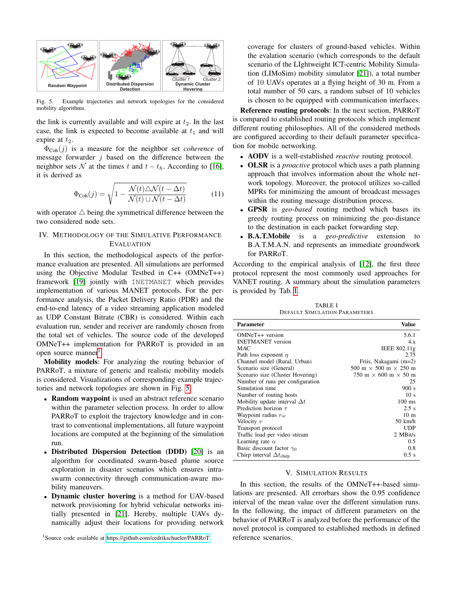

<span id="page-3-3"></span>Fig. 5. Example trajectories and network topologies for the considered mobility algorithms.

the link is currently available and will expire at  $t_2$ . In the last case, the link is expected to become available at  $t_1$  and will expire at  $t_2$ .

 $\Phi_{\text{Coh}}(j)$  is a measure for the neighbor set *coherence* of message forwarder  $j$  based on the difference between the neighbor sets N at the times t and  $t - t<sub>h</sub>$ . According to [\[16\]](#page-6-15), it is derived as

$$
\Phi_{\text{Coh}}(j) = \sqrt{1 - \frac{\mathcal{N}(t)\triangle \mathcal{N}(t - \Delta t)}{\mathcal{N}(t)\cup \mathcal{N}(t - \Delta t)}}\tag{11}
$$

with operator  $\triangle$  being the symmetrical difference between the two considered node sets.

## <span id="page-3-0"></span>IV. METHODOLOGY OF THE SIMULATIVE PERFORMANCE EVALUATION

In this section, the methodological aspects of the performance evaluation are presented. All simulations are performed using the Objective Modular Testbed in C++ (OMNeT++) framework [\[19\]](#page-6-18) jointly with INETMANET which provides implementation of various MANET protocols. For the performance analysis, the Packet Delivery Ratio (PDR) and the end-to-end latency of a video streaming application modeled as UDP Constant Bitrate (CBR) is considered. Within each evaluation run, sender and receiver are randomly chosen from the total set of vehicles. The source code of the developed OMNeT++ implementation for PARRoT is provided in an open source manner<sup>[1](#page-3-2)</sup>.

Mobility models: For analyzing the routing behavior of PARRoT, a mixture of generic and realistic mobility models is considered. Visualizations of corresponding example trajectories and network topologies are shown in Fig. [5.](#page-3-3)

- Random waypoint is used an abstract reference scenario within the parameter selection process. In order to allow PARRoT to exploit the trajectory knowledge and in contrast to conventional implementations, all future waypoint locations are computed at the beginning of the simulation run.
- Distributed Dispersion Detection (DDD) [\[20\]](#page-6-19) is an algorithm for coordinated swarm-based plume source exploration in disaster scenarios which ensures intraswarm connectivity through communication-aware mobility maneuvers.
- Dynamic cluster hovering is a method for UAV-based network provisioning for hybrid vehicular networks initially presented in [\[21\]](#page-6-20). Hereby, multiple UAVs dynamically adjust their locations for providing network

<span id="page-3-2"></span><sup>1</sup>Source code available at<https://github.com/cedrikschueler/PARRoT>

coverage for clusters of ground-based vehicles. Within the evalation scenario (which corresponds to the default scenario of the LIghtweight ICT-centric Mobility Simulation (LIMoSim) mobility simulator [\[21\]](#page-6-20)), a total number of 10 UAVs operates at a flying height of 30 m. From a total number of 50 cars, a random subset of 10 vehicles is chosen to be equipped with communication interfaces.

Reference routing protocols: In the next section, PARRoT is compared to established routing protocols which implement different routing philosophies. All of the considered methods are configured according to their default parameter specification for mobile networking.

- AODV is a well-established *reactive* routing protocol.
- OLSR is a *proactive* protocol which uses a path planning approach that involves information about the whole network topology. Moreover, the protocol utilizes so-called MPRs for minimizing the amount of broadcast messages within the routing message distribution process.
- GPSR is *geo-based* routing method which bases its greedy routing process on minimizing the geo-distance to the destination in each packet forwarding step.
- B.A.T.Mobile is a *geo-predictive* extension to B.A.T.M.A.N. and represents an immediate groundwork for PARRoT.

According to the empirical analysis of [\[12\]](#page-6-11), the first three protocol represent the most commonly used approaches for VANET routing. A summary about the simulation parameters is provided by Tab. [I.](#page-3-4)

TABLE I DEFAULT SIMULATION PARAMETERS

<span id="page-3-4"></span>

| <b>Parameter</b>                         | Value                                                    |
|------------------------------------------|----------------------------------------------------------|
| OMNeT++ version                          | 5.6.1                                                    |
| <b>INETMANET</b> version                 | 4x                                                       |
| <b>MAC</b>                               | IEEE 802.11g                                             |
| Path loss exponent $\eta$                | 2.75                                                     |
| Channel model (Rural, Urban)             | Friis, Nakagami (m=2)                                    |
| Scenario size (General)                  | 500 m $\times$ 500 m $\times$ 250 m                      |
| Scenario size (Cluster Hovering)         | $750 \text{ m} \times 600 \text{ m} \times 50 \text{ m}$ |
| Number of runs per configuration         | 25                                                       |
| Simulation time                          | 900 s                                                    |
| Number of routing hosts                  | 10 <sub>s</sub>                                          |
| Mobility update interval $\Delta t$      | $100$ ms                                                 |
| Prediction horizon $\tau$                | 2.5 s                                                    |
| Waypoint radius $r_w$                    | 10 <sub>m</sub>                                          |
| Velocity $v$                             | 50 km/h                                                  |
| Transport protocol                       | <b>UDP</b>                                               |
| Traffic load per video stream            | 2 MBit/s                                                 |
| Learning rate $\alpha$                   | 0.5                                                      |
| Basic discount factor $\gamma_0$         | 0.8                                                      |
| Chirp interval $\Delta t_{\text{chirp}}$ | $0.5$ s                                                  |

#### V. SIMULATION RESULTS

<span id="page-3-1"></span>In this section, the results of the OMNeT++-based simulations are presented. All errorbars show the 0.95 confidence interval of the mean value over the different simulation runs. In the following, the impact of different parameters on the behavior of PARRoT is analyzed before the performance of the novel protocol is compared to established methods in defined reference scenarios.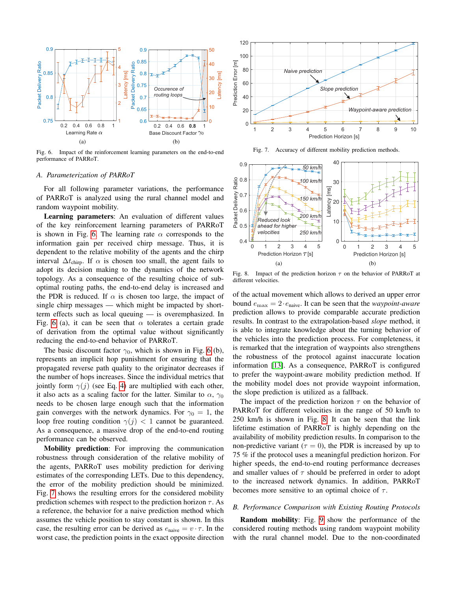

Fig. 6. Impact of the reinforcement learning parameters on the end-to-end performance of PARRoT.

## *A. Parameterization of PARRoT*

For all following parameter variations, the performance of PARRoT is analyzed using the rural channel model and random waypoint mobility.

Learning parameters: An evaluation of different values of the key reinforcement learning parameters of PARRoT is shown in Fig. [6.](#page-4-0) The learning rate  $\alpha$  corresponds to the information gain per received chirp message. Thus, it is dependent to the relative mobility of the agents and the chirp interval  $\Delta t_{\text{chirp}}$ . If  $\alpha$  is chosen too small, the agent fails to adopt its decision making to the dynamics of the network topology. As a consequence of the resulting choice of suboptimal routing paths, the end-to-end delay is increased and the PDR is reduced. If  $\alpha$  is chosen too large, the impact of single chirp messages — which might be impacted by shortterm effects such as local queuing — is overemphasized. In Fig. [6](#page-4-0) (a), it can be seen that  $\alpha$  tolerates a certain grade of derivation from the optimal value without significantly reducing the end-to-end behavior of PARRoT.

The basic discount factor  $\gamma_0$ , which is shown in Fig. [6](#page-4-0) (b), represents an implicit hop punishment for ensuring that the propagated reverse path quality to the originator decreases if the number of hops increases. Since the individual metrics that jointly form  $\gamma(j)$  (see Eq. [4\)](#page-2-3) are multiplied with each other, it also acts as a scaling factor for the latter. Similar to  $\alpha$ ,  $\gamma_0$ needs to be chosen large enough such that the information gain converges with the network dynamics. For  $\gamma_0 = 1$ , the loop free routing condition  $\gamma(j)$  < 1 cannot be guaranteed. As a consequence, a massive drop of the end-to-end routing performance can be observed.

Mobility prediction: For improving the communication robustness through consideration of the relative mobility of the agents, PARRoT uses mobility prediction for deriving estimates of the corresponding LETs. Due to this dependency, the error of the mobility prediction should be minimized. Fig. [7](#page-4-1) shows the resulting errors for the considered mobility prediction schemes with respect to the prediction horizon  $\tau$ . As a reference, the behavior for a naive prediction method which assumes the vehicle position to stay constant is shown. In this case, the resulting error can be derived as  $e_{\text{naive}} = v \cdot \tau$ . In the worst case, the prediction points in the exact opposite direction



<span id="page-4-1"></span>Fig. 7. Accuracy of different mobility prediction methods.

<span id="page-4-0"></span>

<span id="page-4-2"></span>Fig. 8. Impact of the prediction horizon  $\tau$  on the behavior of PARRoT at different velocities.

of the actual movement which allows to derived an upper error bound  $e_{\text{max}} = 2 \cdot e_{\text{naive}}$ . It can be seen that the *waypoint-aware* prediction allows to provide comparable accurate prediction results. In contrast to the extrapolation-based *slope* method, it is able to integrate knowledge about the turning behavior of the vehicles into the prediction process. For completeness, it is remarked that the integration of waypoints also strengthens the robustness of the protocol against inaccurate location information [\[13\]](#page-6-12). As a consequence, PARRoT is configured to prefer the waypoint-aware mobility prediction method. If the mobility model does not provide waypoint information, the slope prediction is utilized as a fallback.

The impact of the prediction horizon  $\tau$  on the behavior of PARRoT for different velocities in the range of 50 km/h to 250 km/h is shown in Fig. [8.](#page-4-2) It can be seen that the link lifetime estimation of PARRoT is highly depending on the availability of mobility prediction results. In comparison to the non-predictive variant ( $\tau = 0$ ), the PDR is increased by up to 75 % if the protocol uses a meaningful prediction horizon. For higher speeds, the end-to-end routing performance decreases and smaller values of  $\tau$  should be preferred in order to adopt to the increased network dynamics. In addition, PARRoT becomes more sensitive to an optimal choice of  $\tau$ .

#### *B. Performance Comparison with Existing Routing Protocols*

Random mobility: Fig. [9](#page-5-0) show the performance of the considered routing methods using random waypoint mobility with the rural channel model. Due to the non-coordinated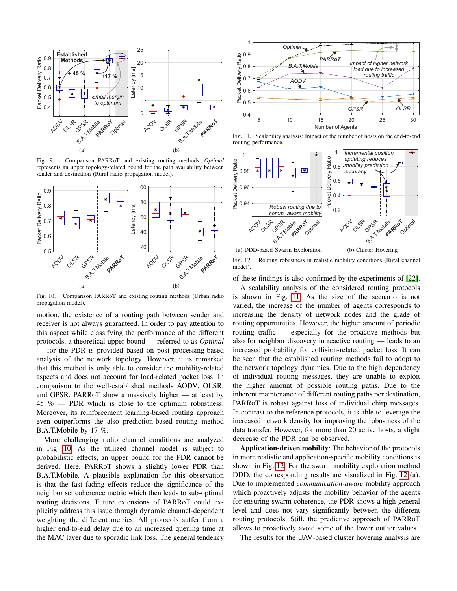

Fig. 9. Comparison PARRoT and existing routing methods. *Optimal* represents an upper topology-related bound for the path availability between sender and destination (Rural radio propagation model).



Fig. 10. Comparison PARRoT and existing routing methods (Urban radio propagation model).

motion, the existence of a routing path between sender and receiver is not always guaranteed. In order to pay attention to this aspect while classifying the performance of the different protocols, a theoretical upper bound — referred to as *Optimal* — for the PDR is provided based on post processing-based analysis of the network topology. However, it is remarked that this method is only able to consider the mobility-related aspects and does not account for load-related packet loss. In comparison to the well-established methods AODV, OLSR, and GPSR, PARRoT show a massively higher — at least by  $45\%$  — PDR which is close to the optimum robustness. Moreover, its reinforcement learning-based routing approach even outperforms the also prediction-based routing method B.A.T.Mobile by 17 %.

More challenging radio channel conditions are analyzed in Fig. [10.](#page-5-1) As the utilized channel model is subject to probabilistic effects, an upper bound for the PDR cannot be derived. Here, PARRoT shows a slightly lower PDR than B.A.T.Mobile. A plausible explanation for this observation is that the fast fading effects reduce the significance of the neighbor set coherence metric which then leads to sub-optimal routing decisions. Future extensions of PARRoT could explicitly address this issue through dynamic channel-dependent weighting the different metrics. All protocols suffer from a higher end-to-end delay due to an increased queuing time at the MAC layer due to sporadic link loss. The general tendency



<span id="page-5-2"></span><span id="page-5-0"></span>Fig. 11. Scalability analysis: Impact of the number of hosts on the end-to-end routing performance.



<span id="page-5-3"></span>Fig. 12. Routing robustness in realistic mobility conditions (Rural channel model).

<span id="page-5-1"></span>of these findings is also confirmed by the experiments of [\[22\]](#page-6-21).

A scalability analysis of the considered routing protocols is shown in Fig. [11.](#page-5-2) As the size of the scenario is not varied, the increase of the number of agents corresponds to increasing the density of network nodes and the grade of routing opportunities. However, the higher amount of periodic routing traffic — especially for the proactive methods but also for neighbor discovery in reactive routing — leads to an increased probability for collision-related packet loss. It can be seen that the established routing methods fail to adopt to the network topology dynamics. Due to the high dependency of individual routing messages, they are unable to exploit the higher amount of possible routing paths. Due to the inherent maintenance of different routing paths per destination, PARRoT is robust against loss of individual chirp messages. In contrast to the reference protocols, it is able to leverage the increased network density for improving the robustness of the data transfer. However, for more than 20 active hosts, a slight decrease of the PDR can be observed.

Application-driven mobility: The behavior of the protocols in more realistic and application-specific mobility conditions is shown in Fig. [12.](#page-5-3) For the swarm mobility exploration method DDD, the corresponding results are visualized in Fig. [12](#page-5-3) (a). Due to implemented *communication-aware* mobility approach which proactively adjusts the mobility behavior of the agents for ensuring swarm coherence, the PDR shows a high general level and does not vary significantly between the different routing protocols. Still, the predictive approach of PARRoT allows to proactively avoid some of the lower outlier values.

The results for the UAV-based cluster hovering analysis are